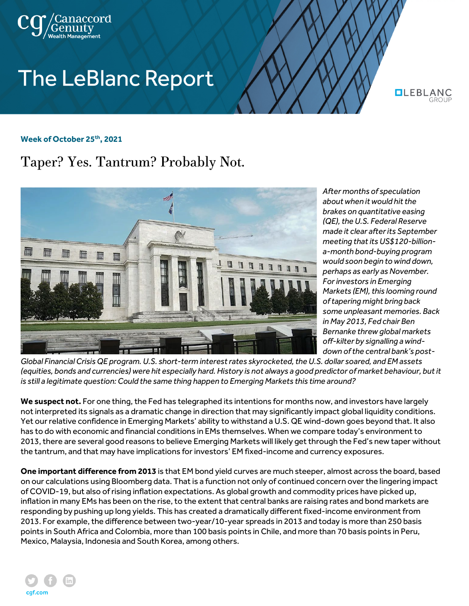

## **The LeBlanc Report**

**QLEBLANG** 

## **Week of October 25th, 2021**

## Taper? Yes. Tantrum? Probably Not.



*After months of speculation about when it would hit the brakes on quantitative easing (QE), the U.S. Federal Reserve made it clear after its September meeting that its US\$120-billiona-month bond-buying program would soon begin to wind down, perhaps as early as November. For investors in Emerging Markets (EM), this looming round of tapering might bring back some unpleasant memories. Back in May 2013, Fed chair Ben Bernanke threw global markets off-kilter by signalling a winddown of the central bank's post-*

*Global Financial Crisis QE program. U.S. short-term interest rates skyrocketed, the U.S. dollar soared, and EM assets (equities, bonds and currencies) were hit especially hard. History is not always a good predictor of market behaviour, but it is still a legitimate question: Could the same thing happen to Emerging Markets this time around?*

**We suspect not.** For one thing, the Fed has telegraphed its intentions for months now, and investors have largely not interpreted its signals as a dramatic change in direction that may significantly impact global liquidity conditions. Yet our relative confidence in Emerging Markets' ability to withstand a U.S. QE wind-down goes beyond that. It also has to do with economic and financial conditions in EMs themselves. When we compare today's environment to 2013, there are several good reasons to believe Emerging Markets will likely get through the Fed's new taper without the tantrum, and that may have implications for investors' EM fixed-income and currency exposures.

**One important difference from 2013** is that EM bond yield curves are much steeper, almost across the board, based on our calculations using Bloomberg data. That is a function not only of continued concern over the lingering impact of COVID-19, but also of rising inflation expectations. As global growth and commodity prices have picked up, inflation in many EMs has been on the rise, to the extent that central banks are raising rates and bond markets are responding by pushing up long yields. This has created a dramatically different fixed-income environment from 2013. For example, the difference between two-year/10-year spreads in 2013 and today is more than 250 basis points in South Africa and Colombia, more than 100 basis points in Chile, and more than 70 basis points in Peru, Mexico, Malaysia, Indonesia and South Korea, among others.